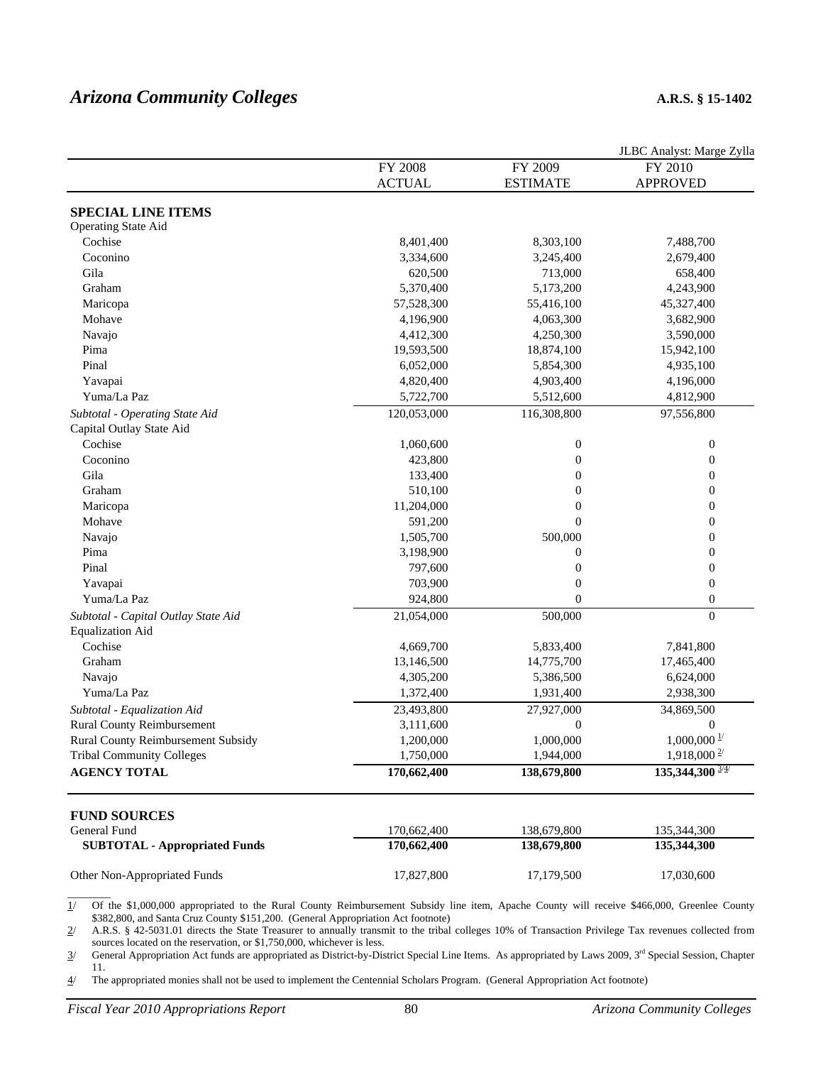# *Arizona Community Colleges* **A.R.S. § 15-1402**

|                                      |               |                  | JLBC Analyst: Marge Zylla   |
|--------------------------------------|---------------|------------------|-----------------------------|
|                                      | FY 2008       | FY 2009          | FY 2010                     |
|                                      | <b>ACTUAL</b> | <b>ESTIMATE</b>  | <b>APPROVED</b>             |
| <b>SPECIAL LINE ITEMS</b>            |               |                  |                             |
| Operating State Aid                  |               |                  |                             |
| Cochise                              | 8,401,400     | 8,303,100        | 7,488,700                   |
| Coconino                             | 3,334,600     | 3,245,400        | 2,679,400                   |
| Gila                                 | 620,500       | 713,000          | 658,400                     |
| Graham                               | 5,370,400     | 5,173,200        | 4,243,900                   |
| Maricopa                             | 57,528,300    | 55,416,100       | 45,327,400                  |
| Mohave                               | 4,196,900     | 4,063,300        | 3,682,900                   |
| Navajo                               | 4,412,300     | 4,250,300        | 3,590,000                   |
| Pima                                 | 19,593,500    | 18,874,100       | 15,942,100                  |
| Pinal                                | 6,052,000     | 5,854,300        | 4,935,100                   |
| Yavapai                              | 4,820,400     | 4,903,400        | 4,196,000                   |
| Yuma/La Paz                          | 5,722,700     | 5,512,600        | 4,812,900                   |
| Subtotal - Operating State Aid       | 120,053,000   | 116,308,800      | 97,556,800                  |
| Capital Outlay State Aid             |               |                  |                             |
| Cochise                              | 1,060,600     | $\boldsymbol{0}$ | $\boldsymbol{0}$            |
| Coconino                             | 423,800       | $\boldsymbol{0}$ | $\boldsymbol{0}$            |
| Gila                                 | 133,400       | $\overline{0}$   | $\boldsymbol{0}$            |
| Graham                               | 510,100       | $\overline{0}$   | $\boldsymbol{0}$            |
| Maricopa                             | 11,204,000    | $\overline{0}$   | $\boldsymbol{0}$            |
| Mohave                               | 591,200       | $\mathbf{0}$     | $\boldsymbol{0}$            |
| Navajo                               | 1,505,700     | 500,000          | $\boldsymbol{0}$            |
| Pima                                 | 3,198,900     | $\boldsymbol{0}$ | $\boldsymbol{0}$            |
| Pinal                                | 797,600       | $\boldsymbol{0}$ | $\boldsymbol{0}$            |
| Yavapai                              | 703,900       | $\boldsymbol{0}$ | $\boldsymbol{0}$            |
| Yuma/La Paz                          | 924,800       | $\overline{0}$   | $\boldsymbol{0}$            |
| Subtotal - Capital Outlay State Aid  | 21,054,000    | 500,000          | $\mathbf{0}$                |
| <b>Equalization Aid</b>              |               |                  |                             |
| Cochise                              | 4,669,700     | 5,833,400        | 7,841,800                   |
| Graham                               | 13,146,500    | 14,775,700       | 17,465,400                  |
| Navajo                               | 4,305,200     | 5,386,500        | 6,624,000                   |
| Yuma/La Paz                          | 1,372,400     | 1,931,400        | 2,938,300                   |
| Subtotal - Equalization Aid          | 23,493,800    | 27,927,000       | 34,869,500                  |
| <b>Rural County Reimbursement</b>    | 3,111,600     | 0                | $\Omega$                    |
| Rural County Reimbursement Subsidy   | 1,200,000     | 1,000,000        | $1,000,000\frac{1}{2}$      |
| <b>Tribal Community Colleges</b>     | 1,750,000     | 1,944,000        | $1,918,000^{2}$             |
| <b>AGENCY TOTAL</b>                  | 170,662,400   | 138,679,800      | $135,344,300$ $\frac{3}{4}$ |
| <b>FUND SOURCES</b>                  |               |                  |                             |
| General Fund                         | 170,662,400   | 138,679,800      | 135,344,300                 |
| <b>SUBTOTAL - Appropriated Funds</b> | 170,662,400   | 138,679,800      | 135,344,300                 |
| Other Non-Appropriated Funds         | 17,827,800    | 17,179,500       | 17,030,600                  |

1/ Of the \$1,000,000 appropriated to the Rural County Reimbursement Subsidy line item, Apache County will receive \$466,000, Greenlee County \$382,800, and Santa Cruz County \$151,200. (General Appropriation Act footnote)

2/ A.R.S. § 42-5031.01 directs the State Treasurer to annually transmit to the tribal colleges 10% of Transaction Privilege Tax revenues collected from sources located on the reservation, or \$1,750,000, whichever is less.

 $3/$  General Appropriation Act funds are appropriated as District-by-District Special Line Items. As appropriated by Laws 2009,  $3<sup>rd</sup>$  Special Session, Chapter 11.

4/ The appropriated monies shall not be used to implement the Centennial Scholars Program. (General Appropriation Act footnote)

 $\overline{\phantom{a}}$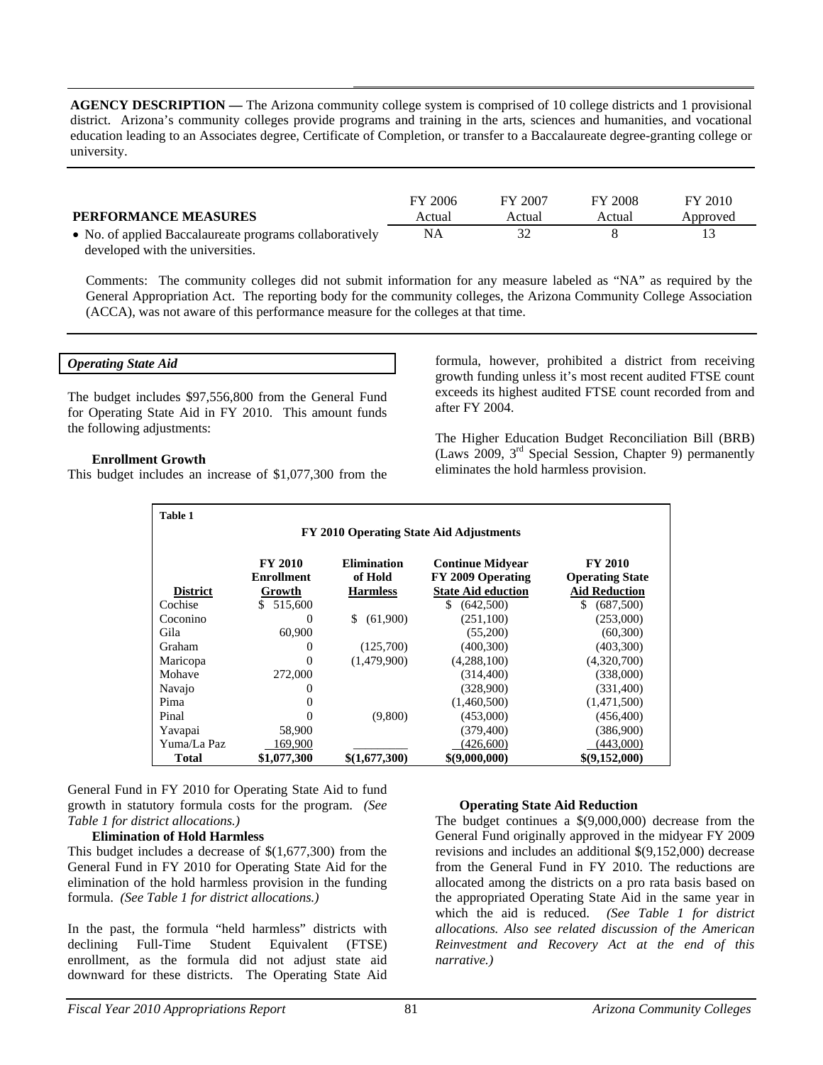**AGENCY DESCRIPTION —** The Arizona community college system is comprised of 10 college districts and 1 provisional district. Arizona's community colleges provide programs and training in the arts, sciences and humanities, and vocational education leading to an Associates degree, Certificate of Completion, or transfer to a Baccalaureate degree-granting college or university.

| <b>PERFORMANCE MEASURES</b>                             | FY 2006<br>Actual | FY 2007<br>Actual | FY 2008<br>Actual | FY 2010<br>Approved |
|---------------------------------------------------------|-------------------|-------------------|-------------------|---------------------|
| • No. of applied Baccalaureate programs collaboratively | NA                |                   |                   |                     |
| developed with the universities.                        |                   |                   |                   |                     |

Comments: The community colleges did not submit information for any measure labeled as "NA" as required by the General Appropriation Act. The reporting body for the community colleges, the Arizona Community College Association (ACCA), was not aware of this performance measure for the colleges at that time.

#### *Operating State Aid*

The budget includes \$97,556,800 from the General Fund for Operating State Aid in FY 2010. This amount funds the following adjustments:

### **Enrollment Growth**

This budget includes an increase of \$1,077,300 from the

formula, however, prohibited a district from receiving growth funding unless it's most recent audited FTSE count exceeds its highest audited FTSE count recorded from and after FY 2004.

The Higher Education Budget Reconciliation Bill (BRB) (Laws 2009, 3rd Special Session, Chapter 9) permanently eliminates the hold harmless provision.

| <b>Table 1</b>                          |                                               |                                                  |                                                                           |                                                                  |  |  |  |
|-----------------------------------------|-----------------------------------------------|--------------------------------------------------|---------------------------------------------------------------------------|------------------------------------------------------------------|--|--|--|
| FY 2010 Operating State Aid Adjustments |                                               |                                                  |                                                                           |                                                                  |  |  |  |
| <b>District</b>                         | <b>FY 2010</b><br><b>Enrollment</b><br>Growth | <b>Elimination</b><br>of Hold<br><b>Harmless</b> | <b>Continue Midyear</b><br>FY 2009 Operating<br><b>State Aid eduction</b> | <b>FY 2010</b><br><b>Operating State</b><br><b>Aid Reduction</b> |  |  |  |
| Cochise                                 | 515,600<br>S.                                 |                                                  | \$.<br>(642,500)                                                          | \$.<br>(687,500)                                                 |  |  |  |
| Coconino                                | $\theta$                                      | \$<br>(61,900)                                   | (251,100)                                                                 | (253,000)                                                        |  |  |  |
| Gila                                    | 60,900                                        |                                                  | (55,200)                                                                  | (60, 300)                                                        |  |  |  |
| Graham                                  | $_{0}$                                        | (125,700)                                        | (400, 300)                                                                | (403,300)                                                        |  |  |  |
| Maricopa                                | $\Omega$                                      | (1.479.900)                                      | (4,288,100)                                                               | (4,320,700)                                                      |  |  |  |
| Mohave                                  | 272,000                                       |                                                  | (314, 400)                                                                | (338,000)                                                        |  |  |  |
| Navajo                                  | $\theta$                                      |                                                  | (328,900)                                                                 | (331,400)                                                        |  |  |  |
| Pima                                    | 0                                             |                                                  | (1,460,500)                                                               | (1,471,500)                                                      |  |  |  |
| Pinal                                   | 0                                             | (9,800)                                          | (453,000)                                                                 | (456, 400)                                                       |  |  |  |
| Yavapai                                 | 58,900                                        |                                                  | (379, 400)                                                                | (386,900)                                                        |  |  |  |
| Yuma/La Paz                             | 169,900                                       |                                                  | (426,600)                                                                 | (443,000)                                                        |  |  |  |
| <b>Total</b>                            | \$1,077,300                                   | \$(1,677,300)                                    | \$(9,000,000)                                                             | \$(9,152,000)                                                    |  |  |  |

General Fund in FY 2010 for Operating State Aid to fund growth in statutory formula costs for the program. *(See Table 1 for district allocations.)* 

#### **Elimination of Hold Harmless**

This budget includes a decrease of \$(1,677,300) from the General Fund in FY 2010 for Operating State Aid for the elimination of the hold harmless provision in the funding formula. *(See Table 1 for district allocations.)* 

In the past, the formula "held harmless" districts with declining Full-Time Student Equivalent (FTSE) enrollment, as the formula did not adjust state aid downward for these districts. The Operating State Aid

### **Operating State Aid Reduction**

The budget continues a \$(9,000,000) decrease from the General Fund originally approved in the midyear FY 2009 revisions and includes an additional \$(9,152,000) decrease from the General Fund in FY 2010. The reductions are allocated among the districts on a pro rata basis based on the appropriated Operating State Aid in the same year in which the aid is reduced. *(See Table 1 for district allocations. Also see related discussion of the American Reinvestment and Recovery Act at the end of this narrative.)*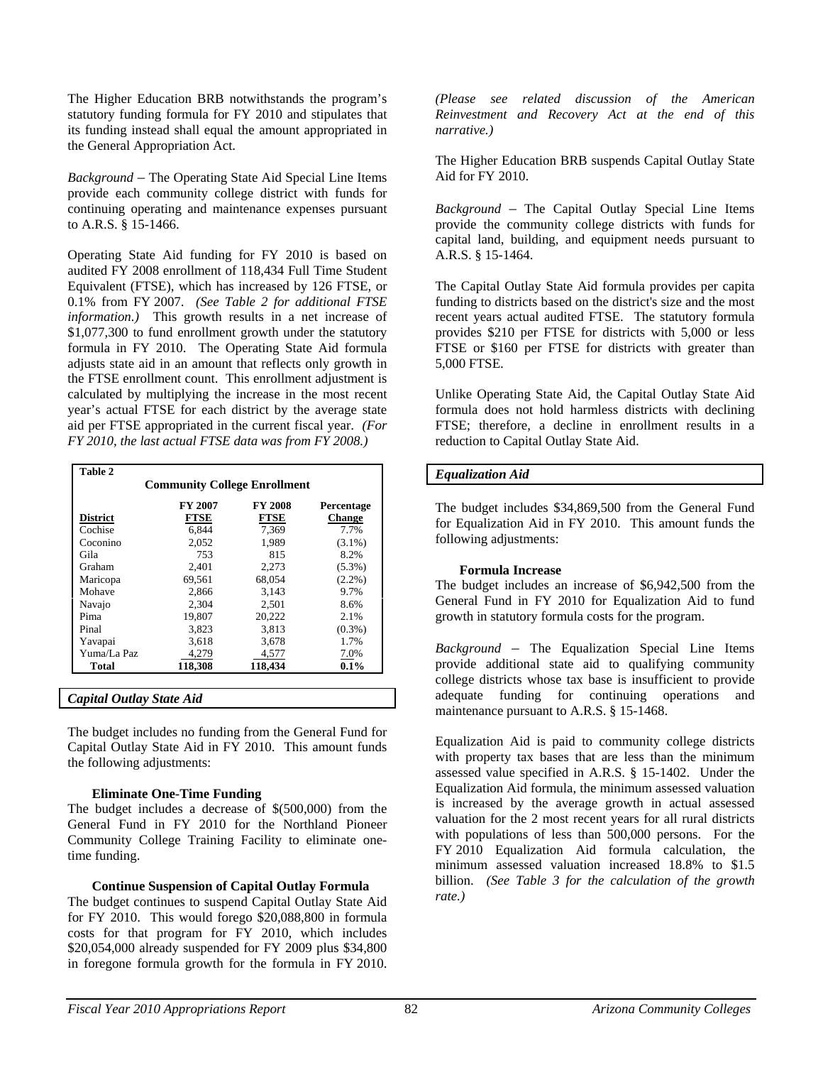The Higher Education BRB notwithstands the program's statutory funding formula for FY 2010 and stipulates that its funding instead shall equal the amount appropriated in the General Appropriation Act.

*Background* – The Operating State Aid Special Line Items provide each community college district with funds for continuing operating and maintenance expenses pursuant to A.R.S. § 15-1466.

Operating State Aid funding for FY 2010 is based on audited FY 2008 enrollment of 118,434 Full Time Student Equivalent (FTSE), which has increased by 126 FTSE, or 0.1% from FY 2007. *(See Table 2 for additional FTSE information.)* This growth results in a net increase of \$1,077,300 to fund enrollment growth under the statutory formula in FY 2010. The Operating State Aid formula adjusts state aid in an amount that reflects only growth in the FTSE enrollment count. This enrollment adjustment is calculated by multiplying the increase in the most recent year's actual FTSE for each district by the average state aid per FTSE appropriated in the current fiscal year. *(For FY 2010, the last actual FTSE data was from FY 2008.)*

| Table 2                             |                                                |         |               |  |  |  |
|-------------------------------------|------------------------------------------------|---------|---------------|--|--|--|
| <b>Community College Enrollment</b> |                                                |         |               |  |  |  |
|                                     | <b>FY 2007</b><br><b>FY 2008</b><br>Percentage |         |               |  |  |  |
| <b>District</b>                     | <b>FTSE</b>                                    | FTSE    | <b>Change</b> |  |  |  |
| Cochise                             | 6.844                                          | 7,369   | 7.7%          |  |  |  |
| Coconino                            | 2.052                                          | 1.989   | $(3.1\%)$     |  |  |  |
| Gila                                | 753                                            | 815     | 8.2%          |  |  |  |
| Graham                              | 2.401                                          | 2.273   | $(5.3\%)$     |  |  |  |
| Maricopa                            | 69.561                                         | 68,054  | $(2.2\%)$     |  |  |  |
| Mohave                              | 2.866                                          | 3.143   | 9.7%          |  |  |  |
| Navajo                              | 2.304                                          | 2.501   | 8.6%          |  |  |  |
| Pima                                | 19.807                                         | 20.222  | 2.1%          |  |  |  |
| Pinal                               | 3.823                                          | 3.813   | $(0.3\%)$     |  |  |  |
| Yavapai                             | 3,618                                          | 3,678   | 1.7%          |  |  |  |
| Yuma/La Paz                         | 4,279                                          | 4,577   | 7.0%          |  |  |  |
| <b>Total</b>                        | 118,308                                        | 118,434 | 0.1%          |  |  |  |
|                                     |                                                |         |               |  |  |  |

*Capital Outlay State Aid* 

The budget includes no funding from the General Fund for Capital Outlay State Aid in FY 2010. This amount funds the following adjustments:

### **Eliminate One-Time Funding**

The budget includes a decrease of \$(500,000) from the General Fund in FY 2010 for the Northland Pioneer Community College Training Facility to eliminate onetime funding.

### **Continue Suspension of Capital Outlay Formula**

The budget continues to suspend Capital Outlay State Aid for FY 2010. This would forego \$20,088,800 in formula costs for that program for FY 2010, which includes \$20,054,000 already suspended for FY 2009 plus \$34,800 in foregone formula growth for the formula in FY 2010.

*(Please see related discussion of the American Reinvestment and Recovery Act at the end of this narrative.)*

The Higher Education BRB suspends Capital Outlay State Aid for FY 2010.

*Background* – The Capital Outlay Special Line Items provide the community college districts with funds for capital land, building, and equipment needs pursuant to A.R.S. § 15-1464.

The Capital Outlay State Aid formula provides per capita funding to districts based on the district's size and the most recent years actual audited FTSE. The statutory formula provides \$210 per FTSE for districts with 5,000 or less FTSE or \$160 per FTSE for districts with greater than 5,000 FTSE.

Unlike Operating State Aid, the Capital Outlay State Aid formula does not hold harmless districts with declining FTSE; therefore, a decline in enrollment results in a reduction to Capital Outlay State Aid.

### *Equalization Aid*

The budget includes \$34,869,500 from the General Fund for Equalization Aid in FY 2010. This amount funds the following adjustments:

### **Formula Increase**

The budget includes an increase of \$6,942,500 from the General Fund in FY 2010 for Equalization Aid to fund growth in statutory formula costs for the program.

*Background* – The Equalization Special Line Items provide additional state aid to qualifying community college districts whose tax base is insufficient to provide adequate funding for continuing operations and maintenance pursuant to A.R.S. § 15-1468.

Equalization Aid is paid to community college districts with property tax bases that are less than the minimum assessed value specified in A.R.S. § 15-1402. Under the Equalization Aid formula, the minimum assessed valuation is increased by the average growth in actual assessed valuation for the 2 most recent years for all rural districts with populations of less than 500,000 persons. For the FY 2010 Equalization Aid formula calculation, the minimum assessed valuation increased 18.8% to \$1.5 billion. *(See Table 3 for the calculation of the growth rate.)*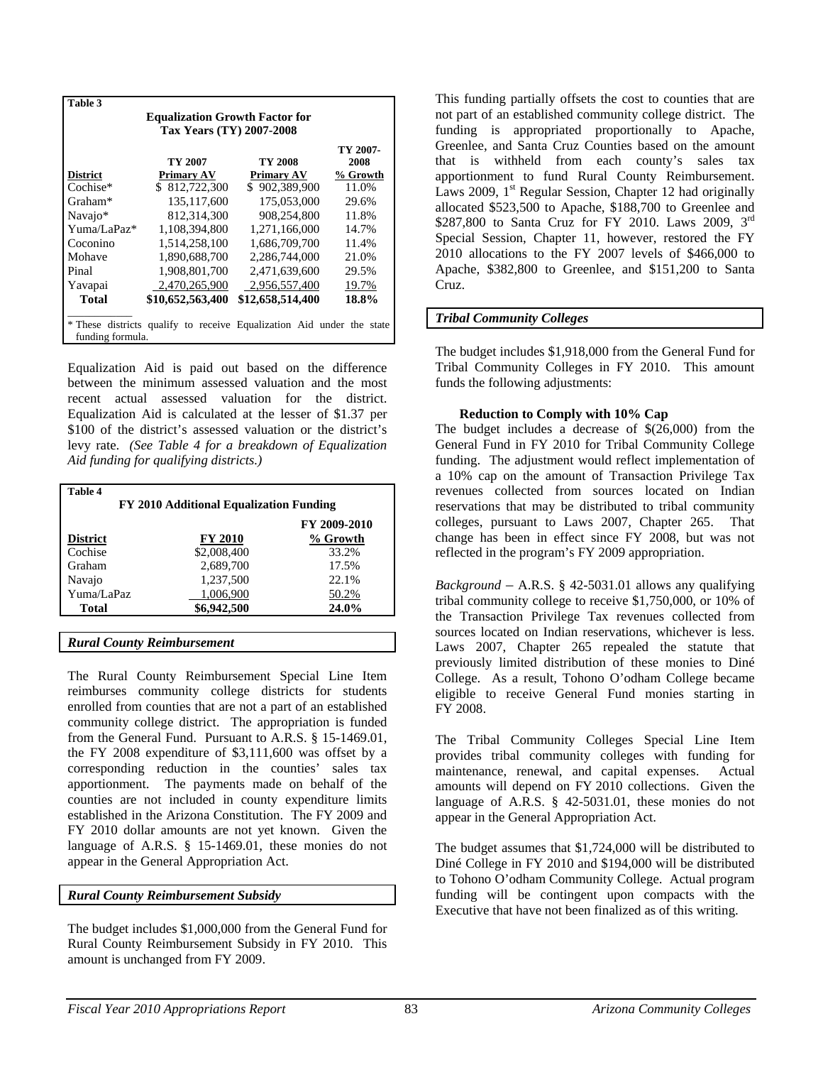| Table 3                                                               |                                       |                  |          |  |  |  |  |
|-----------------------------------------------------------------------|---------------------------------------|------------------|----------|--|--|--|--|
|                                                                       | <b>Equalization Growth Factor for</b> |                  |          |  |  |  |  |
|                                                                       | <b>Tax Years (TY) 2007-2008</b>       |                  |          |  |  |  |  |
|                                                                       |                                       |                  | TY 2007- |  |  |  |  |
|                                                                       | TY 2007                               | TY 2008          | 2008     |  |  |  |  |
| <b>District</b>                                                       | <b>Primary AV</b>                     | Primary AV       | % Growth |  |  |  |  |
| Cochise*                                                              | \$ 812,722,300                        | \$902,389,900    | 11.0%    |  |  |  |  |
| Graham*                                                               | 135,117,600                           | 175,053,000      | 29.6%    |  |  |  |  |
| Navajo*                                                               | 812.314.300                           | 908,254,800      | 11.8%    |  |  |  |  |
| Yuma/LaPaz*                                                           | 1,108,394,800                         | 1.271.166.000    | 14.7%    |  |  |  |  |
| Coconino                                                              | 1,514,258,100                         | 1,686,709,700    | 11.4%    |  |  |  |  |
| Mohave                                                                | 1,890,688,700                         | 2,286,744,000    | 21.0%    |  |  |  |  |
| Pinal                                                                 | 1,908,801,700                         | 2,471,639,600    | 29.5%    |  |  |  |  |
| Yavapai                                                               | 2.470.265.900                         | 2.956.557.400    | 19.7%    |  |  |  |  |
| <b>Total</b>                                                          | \$10,652,563,400                      | \$12,658,514,400 | 18.8%    |  |  |  |  |
|                                                                       |                                       |                  |          |  |  |  |  |
| * These districts qualify to receive Equalization Aid under the state |                                       |                  |          |  |  |  |  |
| funding formula.                                                      |                                       |                  |          |  |  |  |  |

Equalization Aid is paid out based on the difference between the minimum assessed valuation and the most recent actual assessed valuation for the district. Equalization Aid is calculated at the lesser of \$1.37 per \$100 of the district's assessed valuation or the district's levy rate. *(See Table 4 for a breakdown of Equalization Aid funding for qualifying districts.)* 

| Table 4<br>FY 2010 Additional Equalization Funding |                |              |  |  |  |
|----------------------------------------------------|----------------|--------------|--|--|--|
|                                                    |                | FY 2009-2010 |  |  |  |
| <b>District</b>                                    | <b>FY 2010</b> | % Growth     |  |  |  |
| Cochise                                            | \$2,008,400    | 33.2%        |  |  |  |
| Graham                                             | 2,689,700      | 17.5%        |  |  |  |
| Navajo                                             | 1,237,500      | 22.1%        |  |  |  |
| Yuma/LaPaz                                         | 1,006,900      | 50.2%        |  |  |  |
| Total                                              | \$6,942,500    | 24.0%        |  |  |  |
|                                                    |                |              |  |  |  |

*Rural County Reimbursement* 

The Rural County Reimbursement Special Line Item reimburses community college districts for students enrolled from counties that are not a part of an established community college district. The appropriation is funded from the General Fund. Pursuant to A.R.S. § 15-1469.01, the FY 2008 expenditure of \$3,111,600 was offset by a corresponding reduction in the counties' sales tax apportionment. The payments made on behalf of the counties are not included in county expenditure limits established in the Arizona Constitution. The FY 2009 and FY 2010 dollar amounts are not yet known. Given the language of A.R.S. § 15-1469.01, these monies do not appear in the General Appropriation Act.

### *Rural County Reimbursement Subsidy*

The budget includes \$1,000,000 from the General Fund for Rural County Reimbursement Subsidy in FY 2010. This amount is unchanged from FY 2009.

This funding partially offsets the cost to counties that are not part of an established community college district. The funding is appropriated proportionally to Apache, Greenlee, and Santa Cruz Counties based on the amount that is withheld from each county's sales tax apportionment to fund Rural County Reimbursement. Laws 2009,  $1<sup>st</sup>$  Regular Session, Chapter 12 had originally allocated \$523,500 to Apache, \$188,700 to Greenlee and \$287,800 to Santa Cruz for FY 2010. Laws 2009, 3rd Special Session, Chapter 11, however, restored the FY 2010 allocations to the FY 2007 levels of \$466,000 to Apache, \$382,800 to Greenlee, and \$151,200 to Santa Cruz.

### *Tribal Community Colleges*

The budget includes \$1,918,000 from the General Fund for Tribal Community Colleges in FY 2010. This amount funds the following adjustments:

### **Reduction to Comply with 10% Cap**

The budget includes a decrease of \$(26,000) from the General Fund in FY 2010 for Tribal Community College funding. The adjustment would reflect implementation of a 10% cap on the amount of Transaction Privilege Tax revenues collected from sources located on Indian reservations that may be distributed to tribal community colleges, pursuant to Laws 2007, Chapter 265. That change has been in effect since FY 2008, but was not reflected in the program's FY 2009 appropriation.

*Background* – A.R.S. § 42-5031.01 allows any qualifying tribal community college to receive \$1,750,000, or 10% of the Transaction Privilege Tax revenues collected from sources located on Indian reservations, whichever is less. Laws 2007, Chapter 265 repealed the statute that previously limited distribution of these monies to Diné College. As a result, Tohono O'odham College became eligible to receive General Fund monies starting in FY 2008.

The Tribal Community Colleges Special Line Item provides tribal community colleges with funding for maintenance, renewal, and capital expenses. Actual amounts will depend on FY 2010 collections. Given the language of A.R.S. § 42-5031.01, these monies do not appear in the General Appropriation Act.

The budget assumes that \$1,724,000 will be distributed to Diné College in FY 2010 and \$194,000 will be distributed to Tohono O'odham Community College. Actual program funding will be contingent upon compacts with the Executive that have not been finalized as of this writing.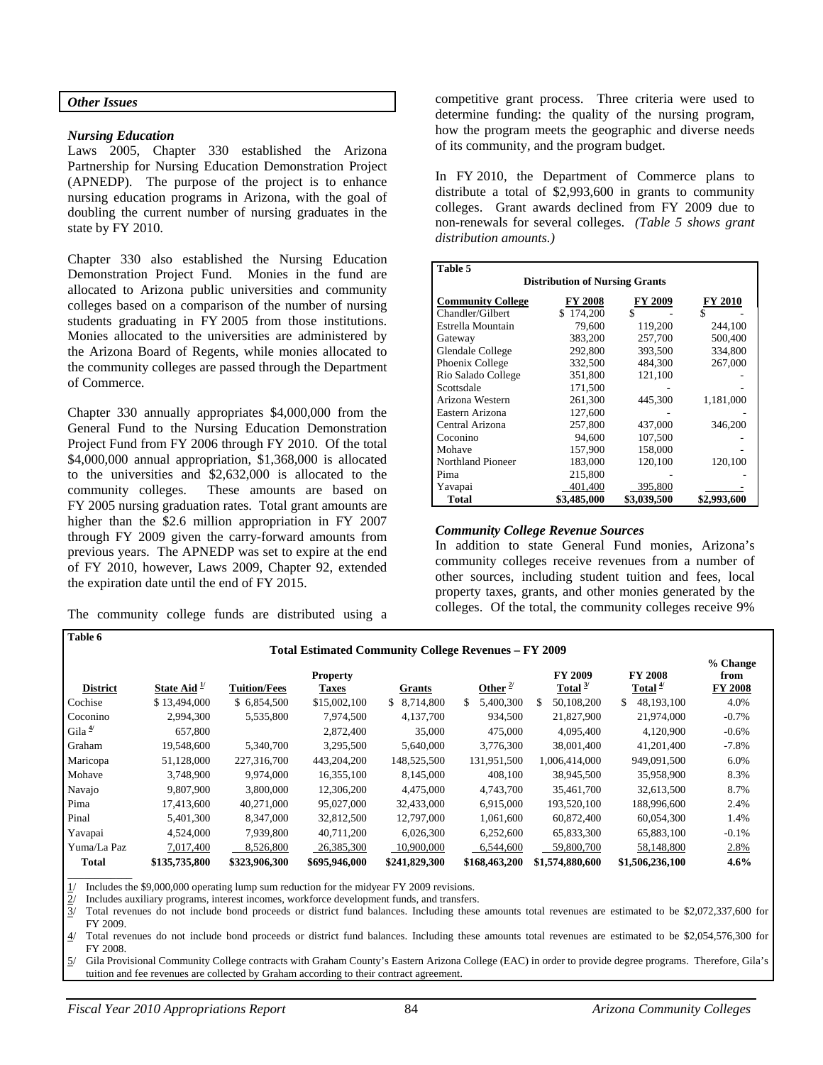#### *Other Issues*

#### *Nursing Education*

Laws 2005, Chapter 330 established the Arizona Partnership for Nursing Education Demonstration Project (APNEDP). The purpose of the project is to enhance nursing education programs in Arizona, with the goal of doubling the current number of nursing graduates in the state by FY 2010.

Chapter 330 also established the Nursing Education Demonstration Project Fund. Monies in the fund are allocated to Arizona public universities and community colleges based on a comparison of the number of nursing students graduating in FY 2005 from those institutions. Monies allocated to the universities are administered by the Arizona Board of Regents, while monies allocated to the community colleges are passed through the Department of Commerce.

Chapter 330 annually appropriates \$4,000,000 from the General Fund to the Nursing Education Demonstration Project Fund from FY 2006 through FY 2010. Of the total \$4,000,000 annual appropriation, \$1,368,000 is allocated to the universities and \$2,632,000 is allocated to the community colleges. These amounts are based on FY 2005 nursing graduation rates. Total grant amounts are higher than the \$2.6 million appropriation in FY 2007 through FY 2009 given the carry-forward amounts from previous years. The APNEDP was set to expire at the end of FY 2010, however, Laws 2009, Chapter 92, extended the expiration date until the end of FY 2015.

The community college funds are distributed using a

competitive grant process. Three criteria were used to determine funding: the quality of the nursing program, how the program meets the geographic and diverse needs of its community, and the program budget.

In FY 2010, the Department of Commerce plans to distribute a total of \$2,993,600 in grants to community colleges. Grant awards declined from FY 2009 due to non-renewals for several colleges. *(Table 5 shows grant distribution amounts.)* 

| Table 5                                                          |             |             |             |  |  |  |  |
|------------------------------------------------------------------|-------------|-------------|-------------|--|--|--|--|
| <b>Distribution of Nursing Grants</b>                            |             |             |             |  |  |  |  |
| <b>FY 2010</b><br><b>Community College</b><br>FY 2008<br>FY 2009 |             |             |             |  |  |  |  |
| Chandler/Gilbert                                                 | \$174,200   | \$          | S           |  |  |  |  |
| Estrella Mountain                                                | 79,600      | 119,200     | 244,100     |  |  |  |  |
| Gateway                                                          | 383,200     | 257,700     | 500,400     |  |  |  |  |
| Glendale College                                                 | 292,800     | 393,500     | 334,800     |  |  |  |  |
| Phoenix College                                                  | 332,500     | 484,300     | 267,000     |  |  |  |  |
| Rio Salado College                                               | 351.800     | 121,100     |             |  |  |  |  |
| Scottsdale                                                       | 171,500     |             |             |  |  |  |  |
| Arizona Western                                                  | 261,300     | 445,300     | 1,181,000   |  |  |  |  |
| Eastern Arizona                                                  | 127,600     |             |             |  |  |  |  |
| Central Arizona                                                  | 257,800     | 437,000     | 346,200     |  |  |  |  |
| Coconino                                                         | 94,600      | 107,500     |             |  |  |  |  |
| Mohave                                                           | 157,900     | 158,000     |             |  |  |  |  |
| <b>Northland Pioneer</b>                                         | 183,000     | 120,100     | 120,100     |  |  |  |  |
| Pima                                                             | 215,800     |             |             |  |  |  |  |
| Yavapai                                                          | 401,400     | 395,800     |             |  |  |  |  |
| <b>Total</b>                                                     | \$3,485,000 | \$3,039,500 | \$2,993,600 |  |  |  |  |

#### *Community College Revenue Sources*

In addition to state General Fund monies, Arizona's community colleges receive revenues from a number of other sources, including student tuition and fees, local property taxes, grants, and other monies generated by the colleges. Of the total, the community colleges receive 9%

| Table 6         |               |                     | <b>Total Estimated Community College Revenues - FY 2009</b> |               |                 |                              |                             |                                    |
|-----------------|---------------|---------------------|-------------------------------------------------------------|---------------|-----------------|------------------------------|-----------------------------|------------------------------------|
| <b>District</b> | State Aid $1$ | <b>Tuition/Fees</b> | <b>Property</b><br>Taxes                                    | <b>Grants</b> | Other $^{2/}$   | <b>FY 2009</b><br>Total $3/$ | <b>FY 2008</b><br>Total $4$ | % Change<br>from<br><b>FY 2008</b> |
| Cochise         | \$13,494,000  | \$6,854,500         | \$15,002,100                                                | \$ 8.714,800  | 5,400,300<br>S. | \$.<br>50,108,200            | \$<br>48,193,100            | 4.0%                               |
| Coconino        | 2,994,300     | 5,535,800           | 7,974,500                                                   | 4,137,700     | 934,500         | 21,827,900                   | 21,974,000                  | $-0.7%$                            |
| Gila $4$        | 657,800       |                     | 2,872,400                                                   | 35,000        | 475,000         | 4.095.400                    | 4,120,900                   | $-0.6%$                            |
| Graham          | 19,548,600    | 5.340.700           | 3,295,500                                                   | 5,640,000     | 3,776,300       | 38,001,400                   | 41,201,400                  | $-7.8%$                            |
| Maricopa        | 51,128,000    | 227,316,700         | 443,204,200                                                 | 148,525,500   | 131,951,500     | 1,006,414,000                | 949,091,500                 | 6.0%                               |
| Mohave          | 3,748,900     | 9.974.000           | 16,355,100                                                  | 8,145,000     | 408,100         | 38,945,500                   | 35,958,900                  | 8.3%                               |
| Navajo          | 9,807,900     | 3,800,000           | 12,306,200                                                  | 4,475,000     | 4,743,700       | 35,461,700                   | 32,613,500                  | 8.7%                               |
| Pima            | 17.413.600    | 40.271,000          | 95,027,000                                                  | 32,433,000    | 6.915.000       | 193,520,100                  | 188,996,600                 | 2.4%                               |
| Pinal           | 5,401,300     | 8,347,000           | 32,812,500                                                  | 12,797,000    | 1.061.600       | 60,872,400                   | 60,054,300                  | 1.4%                               |
| Yavapai         | 4,524,000     | 7,939,800           | 40,711,200                                                  | 6,026,300     | 6,252,600       | 65,833,300                   | 65,883,100                  | $-0.1%$                            |
| Yuma/La Paz     | 7,017,400     | 8,526,800           | 26,385,300                                                  | 10,900,000    | 6.544,600       | 59,800,700                   | 58,148,800                  | 2.8%                               |
| <b>Total</b>    | \$135,735,800 | \$323,906,300       | \$695,946,000                                               | \$241,829,300 | \$168,463,200   | \$1,574,880,600              | \$1,506,236,100             | $4.6\%$                            |
|                 |               |                     |                                                             |               |                 |                              |                             |                                    |

Includes the \$9,000,000 operating lump sum reduction for the midyear FY 2009 revisions.

Includes auxiliary programs, interest incomes, workforce development funds, and transfers.

 $3/$  Total revenues do not include bond proceeds or district fund balances. Including these amounts total revenues are estimated to be \$2,072,337,600 for FY 2009.

4/ Total revenues do not include bond proceeds or district fund balances. Including these amounts total revenues are estimated to be \$2,054,576,300 for FY 2008.

5/ Gila Provisional Community College contracts with Graham County's Eastern Arizona College (EAC) in order to provide degree programs. Therefore, Gila's tuition and fee revenues are collected by Graham according to their contract agreement.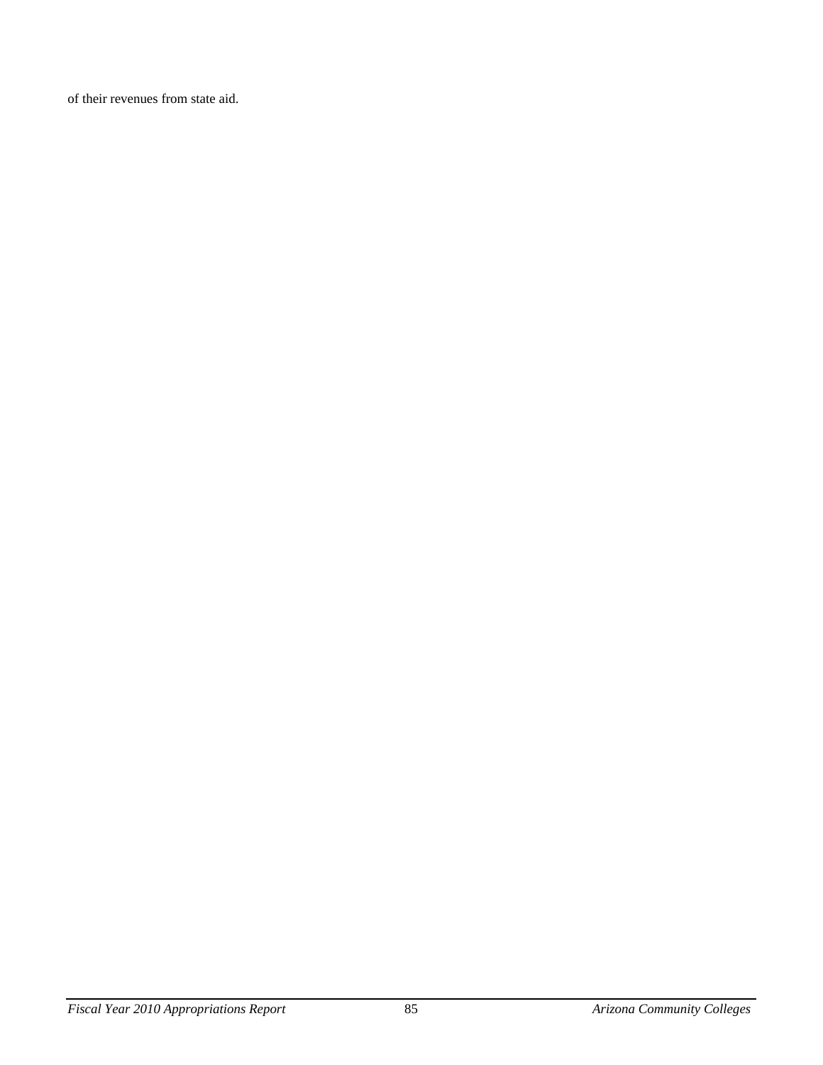of their revenues from state aid.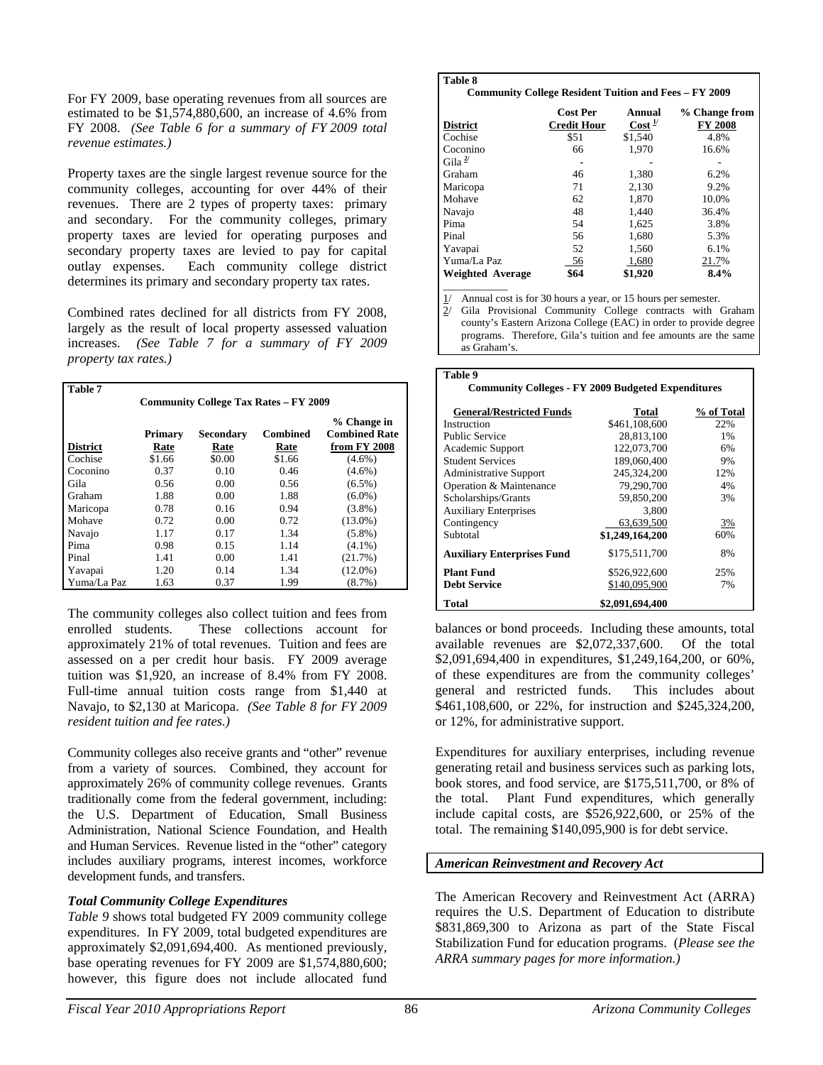For FY 2009, base operating revenues from all sources are estimated to be \$1,574,880,600, an increase of 4.6% from FY 2008. *(See Table 6 for a summary of FY 2009 total revenue estimates.)* 

Property taxes are the single largest revenue source for the community colleges, accounting for over 44% of their revenues. There are 2 types of property taxes: primary and secondary. For the community colleges, primary property taxes are levied for operating purposes and secondary property taxes are levied to pay for capital outlay expenses. Each community college district determines its primary and secondary property tax rates.

Combined rates declined for all districts from FY 2008, largely as the result of local property assessed valuation increases. *(See Table 7 for a summary of FY 2009 property tax rates.)* 

| <b>Table 7</b>                               |         |           |          |                                     |  |  |
|----------------------------------------------|---------|-----------|----------|-------------------------------------|--|--|
| <b>Community College Tax Rates - FY 2009</b> |         |           |          |                                     |  |  |
|                                              | Primary | Secondary | Combined | % Change in<br><b>Combined Rate</b> |  |  |
| <b>District</b>                              | Rate    | Rate      | Rate     | from FY 2008                        |  |  |
| Cochise                                      | \$1.66  | \$0.00    | \$1.66   | $(4.6\%)$                           |  |  |
| Coconino                                     | 0.37    | 0.10      | 0.46     | $(4.6\%)$                           |  |  |
| Gila                                         | 0.56    | 0.00      | 0.56     | $(6.5\%)$                           |  |  |
| Graham                                       | 1.88    | 0.00      | 1.88     | $(6.0\%)$                           |  |  |
| Maricopa                                     | 0.78    | 0.16      | 0.94     | $(3.8\%)$                           |  |  |
| Mohave                                       | 0.72    | 0.00      | 0.72     | $(13.0\%)$                          |  |  |
| Navajo                                       | 1.17    | 0.17      | 1.34     | $(5.8\%)$                           |  |  |
| Pima                                         | 0.98    | 0.15      | 1.14     | $(4.1\%)$                           |  |  |
| Pinal                                        | 1.41    | 0.00      | 1.41     | (21.7%)                             |  |  |
| Yavapai                                      | 1.20    | 0.14      | 1.34     | $(12.0\%)$                          |  |  |
| Yuma/La Paz                                  | 1.63    | 0.37      | 1.99     | $(8.7\%)$                           |  |  |

The community colleges also collect tuition and fees from enrolled students. These collections account for approximately 21% of total revenues. Tuition and fees are assessed on a per credit hour basis. FY 2009 average tuition was \$1,920, an increase of 8.4% from FY 2008. Full-time annual tuition costs range from \$1,440 at Navajo, to \$2,130 at Maricopa. *(See Table 8 for FY 2009 resident tuition and fee rates.)* 

Community colleges also receive grants and "other" revenue from a variety of sources. Combined, they account for approximately 26% of community college revenues. Grants traditionally come from the federal government, including: the U.S. Department of Education, Small Business Administration, National Science Foundation, and Health and Human Services. Revenue listed in the "other" category includes auxiliary programs, interest incomes, workforce development funds, and transfers.

### *Total Community College Expenditures*

*Table 9* shows total budgeted FY 2009 community college expenditures. In FY 2009, total budgeted expenditures are approximately \$2,091,694,400. As mentioned previously, base operating revenues for FY 2009 are \$1,574,880,600; however, this figure does not include allocated fund

### **Table 8**

**Community College Resident Tuition and Fees – FY 2009**

| <b>District</b>  | <b>Cost Per</b><br><b>Credit Hour</b> | Annual<br>Cost <sup>17</sup> | % Change from<br><b>FY 2008</b> |
|------------------|---------------------------------------|------------------------------|---------------------------------|
| Cochise          | \$51                                  | \$1.540                      | 4.8%                            |
| Coconino         | 66                                    | 1.970                        | 16.6%                           |
| Gila $^{2/}$     |                                       |                              |                                 |
| Graham           | 46                                    | 1,380                        | 6.2%                            |
| Maricopa         | 71                                    | 2.130                        | 9.2%                            |
| Mohave           | 62                                    | 1,870                        | 10.0%                           |
| Navajo           | 48                                    | 1.440                        | 36.4%                           |
| Pima             | 54                                    | 1,625                        | 3.8%                            |
| Pinal            | 56                                    | 1.680                        | 5.3%                            |
| Yavapai          | 52                                    | 1,560                        | 6.1%                            |
| Yuma/La Paz      | 56                                    | 1,680                        | 21.7%                           |
| Weighted Average | \$64                                  | \$1,920                      | 8.4%                            |
|                  |                                       |                              |                                 |

Annual cost is for 30 hours a year, or 15 hours per semester.

 $\overline{2}$ / Gila Provisional Community College contracts with Graham county's Eastern Arizona College (EAC) in order to provide degree programs. Therefore, Gila's tuition and fee amounts are the same as Graham's.

| Table 9                                                   |                 |            |
|-----------------------------------------------------------|-----------------|------------|
| <b>Community Colleges - FY 2009 Budgeted Expenditures</b> |                 |            |
|                                                           |                 |            |
| <b>General/Restricted Funds</b>                           | Total           | % of Total |
| Instruction                                               | \$461,108,600   | 22%        |
| <b>Public Service</b>                                     | 28.813.100      | 1%         |
| Academic Support                                          | 122,073,700     | 6%         |
| <b>Student Services</b>                                   | 189,060,400     | 9%         |
| <b>Administrative Support</b>                             | 245,324,200     | 12%        |
| Operation & Maintenance                                   | 79,290,700      | 4%         |
| Scholarships/Grants                                       | 59.850.200      | 3%         |
| <b>Auxiliary Enterprises</b>                              | 3,800           |            |
| Contingency                                               | 63,639,500      | 3%         |
| Subtotal                                                  | \$1,249,164,200 | 60%        |
| <b>Auxiliary Enterprises Fund</b>                         | \$175,511,700   | 8%         |
| <b>Plant Fund</b>                                         | \$526,922,600   | 25%        |
| <b>Debt Service</b>                                       | \$140,095,900   | 7%         |
| <b>Total</b>                                              | \$2,091,694,400 |            |

balances or bond proceeds. Including these amounts, total available revenues are \$2,072,337,600. Of the total \$2,091,694,400 in expenditures, \$1,249,164,200, or 60%, of these expenditures are from the community colleges' general and restricted funds. This includes about \$461,108,600, or 22%, for instruction and \$245,324,200, or 12%, for administrative support.

Expenditures for auxiliary enterprises, including revenue generating retail and business services such as parking lots, book stores, and food service, are \$175,511,700, or 8% of the total. Plant Fund expenditures, which generally include capital costs, are \$526,922,600, or 25% of the total. The remaining \$140,095,900 is for debt service.

## *American Reinvestment and Recovery Act*

The American Recovery and Reinvestment Act (ARRA) requires the U.S. Department of Education to distribute \$831,869,300 to Arizona as part of the State Fiscal Stabilization Fund for education programs. (*Please see the ARRA summary pages for more information.)*